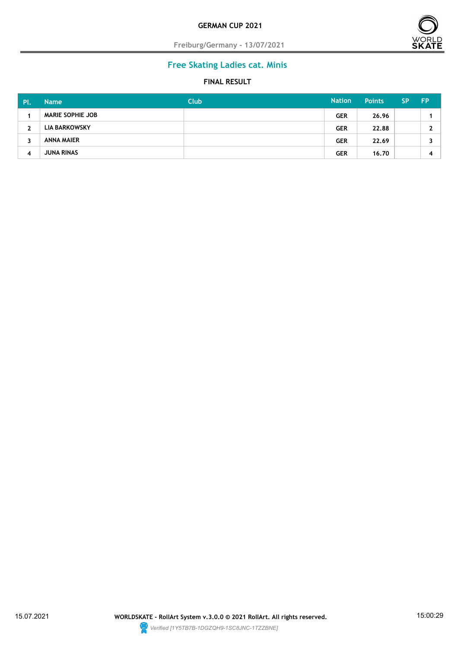

**Freiburg/Germany - 13/07/2021**

# **Free Skating Ladies cat. Minis**

| PI.          | <b>Name</b>             | <b>Club</b> | <b>Nation</b> | <b>Points</b> | <b>SP</b> | <b>FP</b> |
|--------------|-------------------------|-------------|---------------|---------------|-----------|-----------|
|              | <b>MARIE SOPHIE JOB</b> |             | <b>GER</b>    | 26.96         |           |           |
| $\mathbf{2}$ | LIA BARKOWSKY           |             | <b>GER</b>    | 22.88         |           |           |
| 3            | ANNA MAIER              |             | <b>GER</b>    | 22.69         |           |           |
| 4            | <b>JUNA RINAS</b>       |             | <b>GER</b>    | 16.70         |           |           |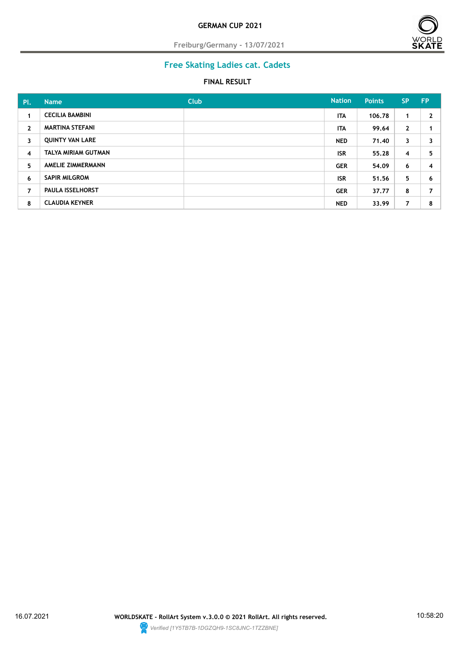

**Freiburg/Germany - 13/07/2021**

# **Free Skating Ladies cat. Cadets**

| Pl.            | <b>Name</b>             | <b>Club</b> | <b>Nation</b> | <b>Points</b> | <b>SP</b>    | <b>FP</b> |
|----------------|-------------------------|-------------|---------------|---------------|--------------|-----------|
| 1              | <b>CECILIA BAMBINI</b>  |             | <b>ITA</b>    | 106.78        | 1            | 2         |
| $\mathbf{2}$   | <b>MARTINA STEFANI</b>  |             | <b>ITA</b>    | 99.64         | $\mathbf{2}$ |           |
| 3              | <b>QUINTY VAN LARE</b>  |             | <b>NED</b>    | 71.40         | 3            | 3         |
| $\overline{4}$ | TALYA MIRIAM GUTMAN     |             | <b>ISR</b>    | 55.28         | 4            | 5         |
| 5              | AMELIE ZIMMERMANN       |             | <b>GER</b>    | 54.09         | 6            | 4         |
| 6              | <b>SAPIR MILGROM</b>    |             | <b>ISR</b>    | 51.56         | 5.           | 6         |
| $\overline{7}$ | <b>PAULA ISSELHORST</b> |             | <b>GER</b>    | 37.77         | 8            | 7         |
| 8              | <b>CLAUDIA KEYNER</b>   |             | <b>NED</b>    | 33.99         | 7            | 8         |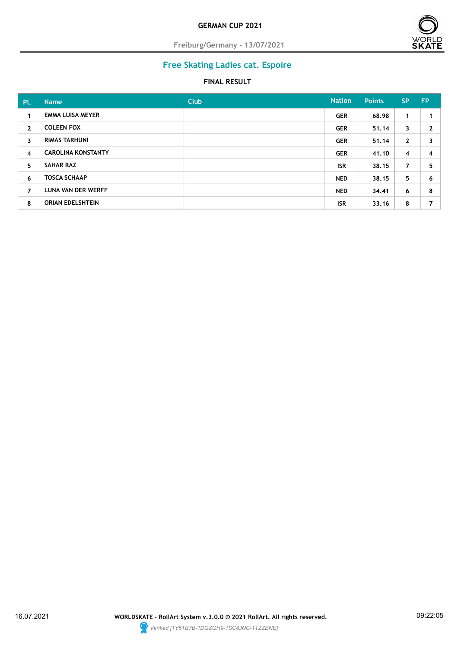

**Freiburg/Germany - 13/07/2021**

## **Free Skating Ladies cat. Espoire**

| Pl.            | <b>Name</b>               | <b>Club</b> | <b>Nation</b> | <b>Points</b> | <b>SP</b>    | <b>FP</b> |
|----------------|---------------------------|-------------|---------------|---------------|--------------|-----------|
| 1              | <b>EMMA LUISA MEYER</b>   |             | <b>GER</b>    | 68.98         | 1            |           |
| $\mathbf{2}$   | <b>COLEEN FOX</b>         |             | <b>GER</b>    | 51.14         | 3            | 2         |
| 3              | <b>RIMAS TARHUNI</b>      |             | <b>GER</b>    | 51.14         | $\mathbf{2}$ | 3         |
| $\overline{4}$ | <b>CAROLINA KONSTANTY</b> |             | <b>GER</b>    | 41.10         | 4            | 4         |
| 5              | <b>SAHAR RAZ</b>          |             | <b>ISR</b>    | 38.15         | 7            | 5         |
| 6              | <b>TOSCA SCHAAP</b>       |             | <b>NED</b>    | 38.15         | 5.           | 6         |
| $\overline{7}$ | LUNA VAN DER WERFF        |             | <b>NED</b>    | 34.41         | 6            | 8         |
| 8              | <b>ORIAN EDELSHTEIN</b>   |             | <b>ISR</b>    | 33.16         | 8            | 7         |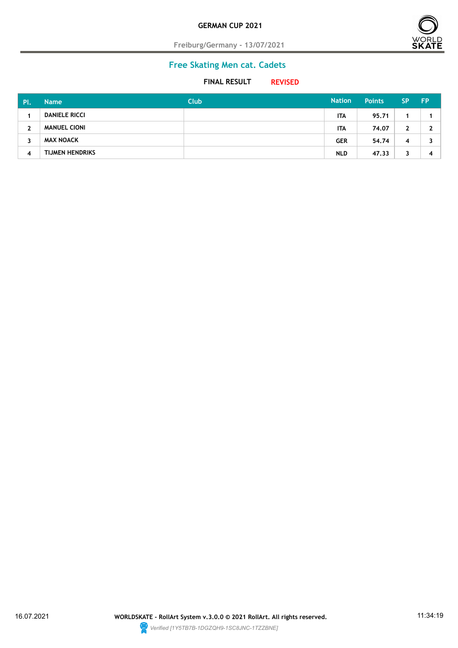

**Freiburg/Germany - 13/07/2021**

# **Free Skating Men cat. Cadets**

### **FINAL RESULT REVISED**

| Pl. | <b>Name</b>            | <b>Club</b> | <b>Nation</b> | <b>Points</b> | <b>SP</b> | <b>FP</b> |
|-----|------------------------|-------------|---------------|---------------|-----------|-----------|
|     | <b>DANIELE RICCI</b>   |             | <b>ITA</b>    | 95,71         |           |           |
| ຳ   | <b>MANUEL CIONI</b>    |             | <b>ITA</b>    | 74.07         |           |           |
| 3   | <b>MAX NOACK</b>       |             | <b>GER</b>    | 54.74         | 4         |           |
| 4   | <b>TIJMEN HENDRIKS</b> |             | <b>NLD</b>    | 47,33         |           | д         |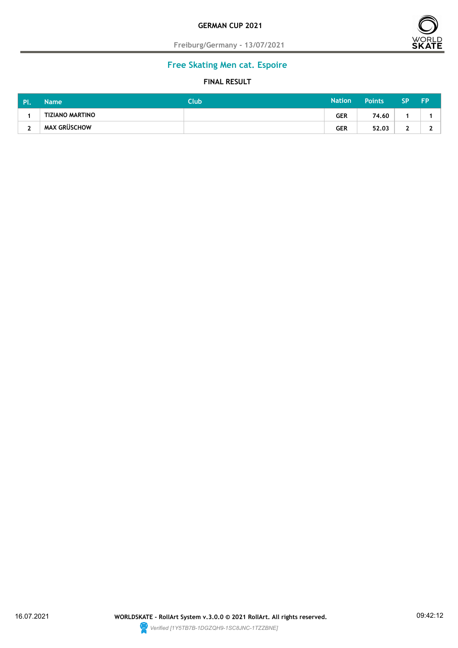

**Freiburg/Germany - 13/07/2021**

## **Free Skating Men cat. Espoire**

| IPI. | <b>Name</b>            | Club | <b>Nation</b> | <b>Points</b> | <b>SP</b> | <b>FP</b> |
|------|------------------------|------|---------------|---------------|-----------|-----------|
|      | <b>TIZIANO MARTINO</b> |      | <b>GER</b>    | 74.60         |           |           |
| -    | <b>MAX GRÜSCHOW</b>    |      | <b>GER</b>    | 52.03         |           |           |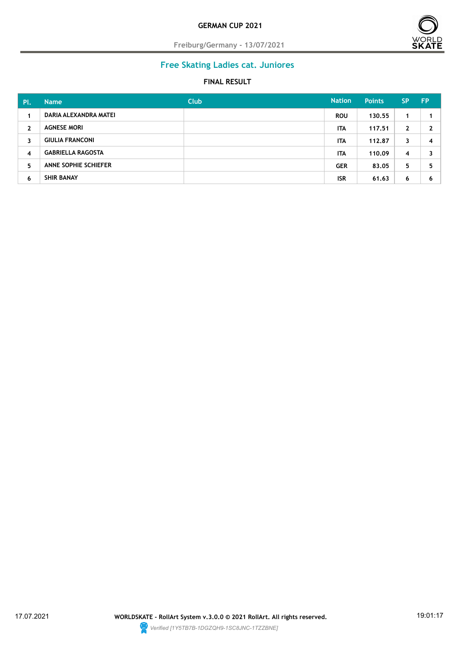

**Freiburg/Germany - 13/07/2021**

# **Free Skating Ladies cat. Juniores**

| PL                 | <b>Name</b>              | <b>Club</b> | <b>Nation</b> | <b>Points</b> | <b>SP</b> | <b>FP</b> |
|--------------------|--------------------------|-------------|---------------|---------------|-----------|-----------|
|                    | DARIA ALEXANDRA MATEI    |             | <b>ROU</b>    | 130.55        |           |           |
| $\mathbf{2}$       | <b>AGNESE MORI</b>       |             | <b>ITA</b>    | 117.51        | 2         | າ         |
| 3                  | <b>GIULIA FRANCONI</b>   |             | <b>ITA</b>    | 112.87        | 3         | 4         |
| $\overline{\bf 4}$ | <b>GABRIELLA RAGOSTA</b> |             | <b>ITA</b>    | 110.09        | 4         | כ         |
| 5                  | ANNE SOPHIE SCHIEFER     |             | <b>GER</b>    | 83.05         | 5.        | 5         |
| 6                  | SHIR BANAY               |             | <b>ISR</b>    | 61.63         | 6         | 6         |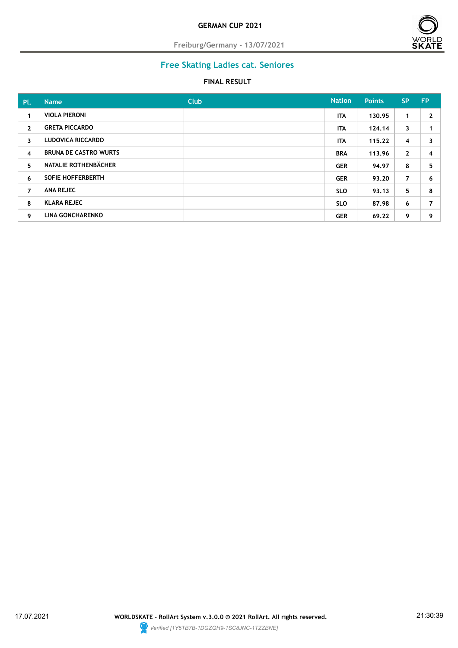

**Freiburg/Germany - 13/07/2021**

# **Free Skating Ladies cat. Seniores**

| Pl.                     | <b>Name</b>                  | <b>Club</b> | <b>Nation</b> | <b>Points</b> | <b>SP</b>      | <b>FP</b> |
|-------------------------|------------------------------|-------------|---------------|---------------|----------------|-----------|
| 1                       | <b>VIOLA PIERONI</b>         |             | <b>ITA</b>    | 130.95        | 1              | 2         |
| $\mathbf{2}$            | <b>GRETA PICCARDO</b>        |             | <b>ITA</b>    | 124.14        | 3              |           |
| $\overline{\mathbf{3}}$ | <b>LUDOVICA RICCARDO</b>     |             | <b>ITA</b>    | 115.22        | 4              | 3         |
| $\overline{\mathbf{4}}$ | <b>BRUNA DE CASTRO WURTS</b> |             | <b>BRA</b>    | 113.96        | $\mathbf{2}$   | 4         |
| 5                       | NATALIE ROTHENBÄCHER         |             | <b>GER</b>    | 94.97         | 8              | 5         |
| 6                       | <b>SOFIE HOFFERBERTH</b>     |             | <b>GER</b>    | 93.20         | $\overline{7}$ | 6         |
| 7                       | <b>ANA REJEC</b>             |             | <b>SLO</b>    | 93.13         | 5              | 8         |
| 8                       | <b>KLARA REJEC</b>           |             | <b>SLO</b>    | 87.98         | 6              | 7         |
| 9                       | <b>LINA GONCHARENKO</b>      |             | <b>GER</b>    | 69.22         | 9              | 9         |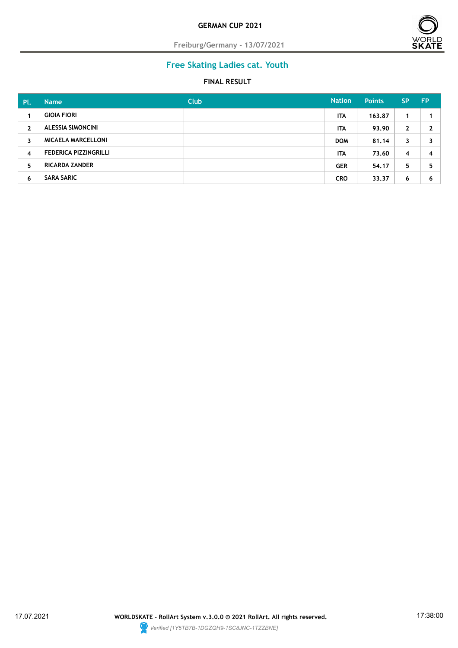

**Freiburg/Germany - 13/07/2021**

# **Free Skating Ladies cat. Youth**

| Pl.          | <b>Name</b>                  | <b>Club</b> | <b>Nation</b> | <b>Points</b> | <b>SP</b>    | <b>FP</b> |
|--------------|------------------------------|-------------|---------------|---------------|--------------|-----------|
|              | <b>GIOIA FIORI</b>           |             | <b>ITA</b>    | 163.87        |              |           |
| $\mathbf{z}$ | ALESSIA SIMONCINI            |             | <b>ITA</b>    | 93.90         | $\mathbf{2}$ | າ         |
| 3            | <b>MICAELA MARCELLONI</b>    |             | <b>DOM</b>    | 81.14         | 3            |           |
| 4            | <b>FEDERICA PIZZINGRILLI</b> |             | <b>ITA</b>    | 73.60         | 4            | 4         |
| 5            | <b>RICARDA ZANDER</b>        |             | <b>GER</b>    | 54.17         | 5            | 5         |
| 6            | <b>SARA SARIC</b>            |             | <b>CRO</b>    | 33.37         | 6            | 6         |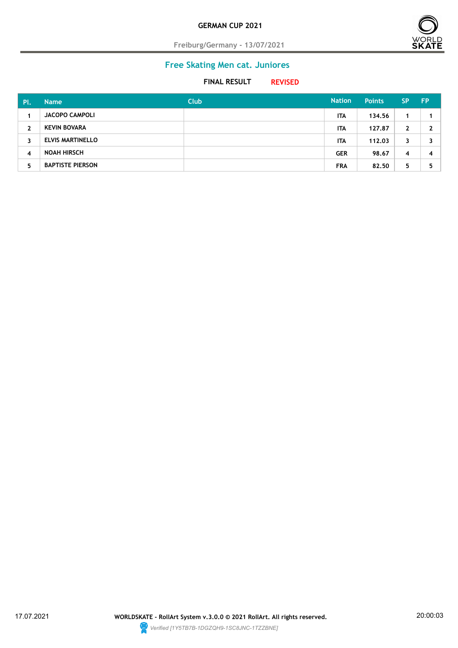

**Freiburg/Germany - 13/07/2021**

## **Free Skating Men cat. Juniores**

#### **FINAL RESULT REVISED**

| Pl.                     | <b>Name</b>             | <b>Club</b> | <b>Nation</b> | <b>Points</b> | <b>SP</b> | <b>FP</b> |
|-------------------------|-------------------------|-------------|---------------|---------------|-----------|-----------|
|                         | <b>JACOPO CAMPOLI</b>   |             | <b>ITA</b>    | 134.56        |           |           |
| 2                       | <b>KEVIN BOVARA</b>     |             | <b>ITA</b>    | 127.87        | 2         | ∍         |
| 3                       | <b>ELVIS MARTINELLO</b> |             | <b>ITA</b>    | 112.03        |           |           |
| $\overline{\mathbf{A}}$ | <b>NOAH HIRSCH</b>      |             | <b>GER</b>    | 98.67         | 4         | 4         |
| 5                       | <b>BAPTISTE PIERSON</b> |             | <b>FRA</b>    | 82.50         | 5         |           |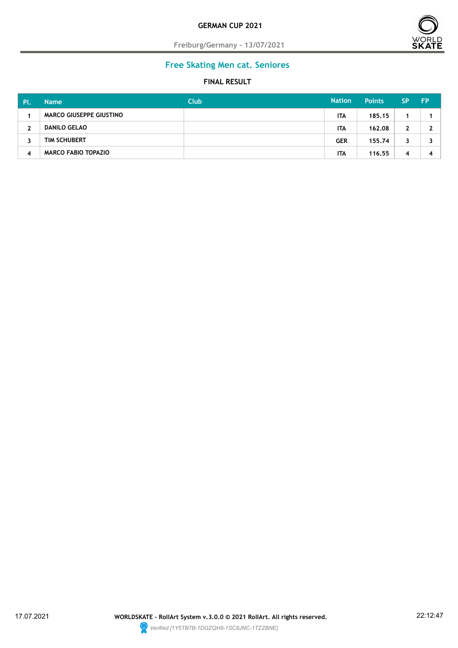

**Freiburg/Germany - 13/07/2021**

## **Free Skating Men cat. Seniores**

| PI.                     | <b>Name</b>                    | <b>Club</b> | <b>Nation</b> | <b>Points</b> | <b>SP</b> | <b>FP</b> |
|-------------------------|--------------------------------|-------------|---------------|---------------|-----------|-----------|
|                         | <b>MARCO GIUSEPPE GIUSTINO</b> |             | <b>ITA</b>    | 185.15        |           |           |
| $\mathbf{2}$            | <b>DANILO GELAO</b>            |             | <b>ITA</b>    | 162.08        | າ         |           |
| 3                       | TIM SCHUBERT                   |             | <b>GER</b>    | 155.74        | 3         |           |
| $\overline{\mathbf{A}}$ | <b>MARCO FABIO TOPAZIO</b>     |             | <b>ITA</b>    | 116.55        | 4         |           |